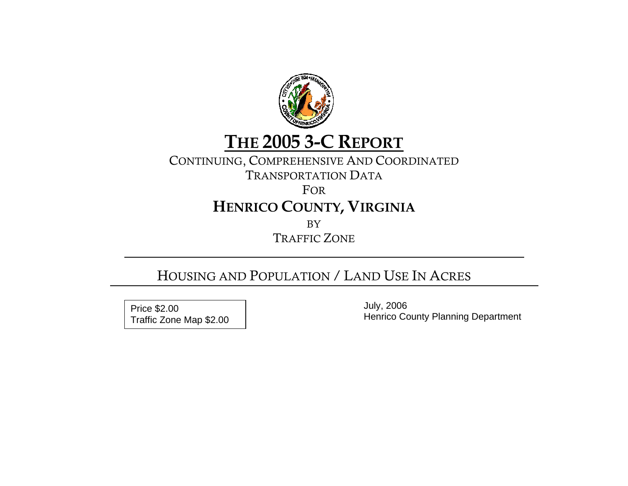

# **THE 2005 3-C REPORT**

### CONTINUING, COMPREHENSIVE AND COORDINATED

TRANSPORTATION DATA

FOR

# **HENRICO COUNTY, VIRGINIA**

BY

TRAFFIC ZONE

## HOUSING AND POPULATION / LAND USE IN ACRES

 July, 2006 Price \$2.00<br>
Traffic Zone Map \$2.00 <br>
Henrico County Planning Department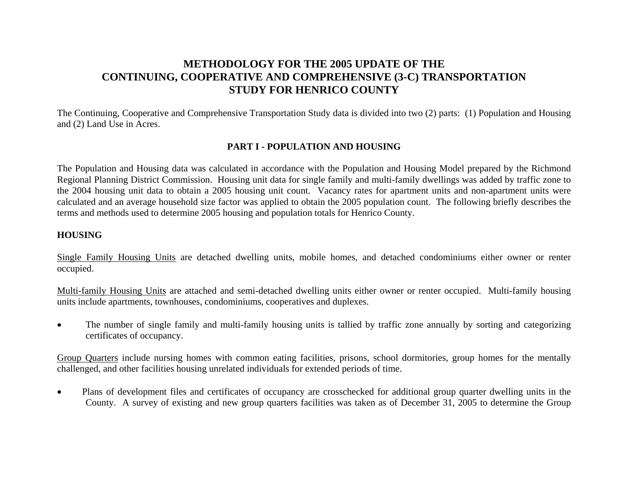#### **METHODOLOGY FOR THE 2005 UPDATE OF THE CONTINUING, COOPERATIVE AND COMPREHENSIVE (3-C) TRANSPORTATION STUDY FOR HENRICO COUNTY**

The Continuing, Cooperative and Comprehensive Transportation Study data is divided into two (2) parts: (1) Population and Housing and (2) Land Use in Acres.

#### **PART I - POPULATION AND HOUSING**

The Population and Housing data was calculated in accordance with the Population and Housing Model prepared by the Richmond Regional Planning District Commission. Housing unit data for single family and multi-family dwellings was added by traffic zone to the 2004 housing unit data to obtain a 2005 housing unit count. Vacancy rates for apartment units and non-apartment units were calculated and an average household size factor was applied to obtain the 2005 population count. The following briefly describes the terms and methods used to determine 2005 housing and population totals for Henrico County.

#### **HOUSING**

Single Family Housing Units are detached dwelling units, mobile homes, and detached condominiums either owner or renter occupied.

Multi-family Housing Units are attached and semi-detached dwelling units either owner or renter occupied. Multi-family housing units include apartments, townhouses, condominiums, cooperatives and duplexes.

The number of single family and multi-family housing units is tallied by traffic zone annually by sorting and categorizing certificates of occupancy.

Group Quarters include nursing homes with common eating facilities, prisons, school dormitories, group homes for the mentally challenged, and other facilities housing unrelated individuals for extended periods of time.

• Plans of development files and certificates of occupancy are crosschecked for additional group quarter dwelling units in the County. A survey of existing and new group quarters facilities was taken as of December 31, 2005 to determine the Group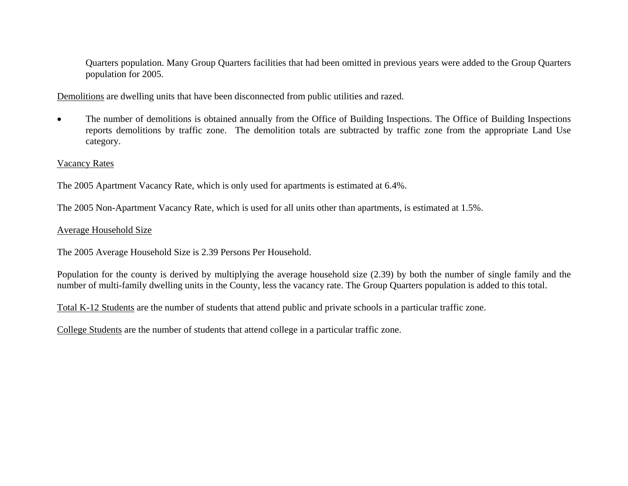Quarters population. Many Group Quarters facilities that had been omitted in previous years were added to the Group Quarters population for 2005.

Demolitions are dwelling units that have been disconnected from public utilities and razed.

• The number of demolitions is obtained annually from the Office of Building Inspections. The Office of Building Inspections reports demolitions by traffic zone. The demolition totals are subtracted by traffic zone from the appropriate Land Use category.

#### Vacancy Rates

The 2005 Apartment Vacancy Rate, which is only used for apartments is estimated at 6.4%.

The 2005 Non-Apartment Vacancy Rate, which is used for all units other than apartments, is estimated at 1.5%.

#### Average Household Size

The 2005 Average Household Size is 2.39 Persons Per Household.

Population for the county is derived by multiplying the average household size (2.39) by both the number of single family and the number of multi-family dwelling units in the County, less the vacancy rate. The Group Quarters population is added to this total.

Total K-12 Students are the number of students that attend public and private schools in a particular traffic zone.

College Students are the number of students that attend college in a particular traffic zone.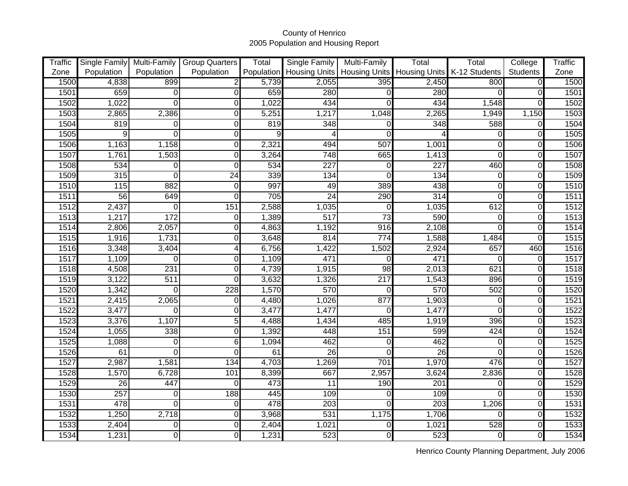| <b>Traffic</b> |                 |                  | Single Family Multi-Family Group Quarters | Total      | Single Family    | Multi-Family         | Total                | Total         | College         | <b>Traffic</b> |
|----------------|-----------------|------------------|-------------------------------------------|------------|------------------|----------------------|----------------------|---------------|-----------------|----------------|
| Zone           | Population      | Population       | Population                                | Population | Housing Units    | <b>Housing Units</b> | <b>Housing Units</b> | K-12 Students | <b>Students</b> | Zone           |
| 1500           | 4,838           | 899              |                                           | 5,739      | 2,055            | 395                  | 2,450                | 800           | $\overline{0}$  | 1500           |
| 1501           | 659             | $\overline{0}$   | 0                                         | 659        | 280              |                      | 280                  |               | 0               | 1501           |
| 1502           | 1,022           | $\overline{O}$   | 0                                         | 1,022      | 434              |                      | 434                  | 1,548         |                 | 1502           |
| 1503           | 2,865           | 2,386            | 0                                         | 5,251      | 1,217            | 1,048                | 2,265                | 1,949         | 1,150           | 1503           |
| 1504           | 819             | $\overline{0}$   | 0                                         | 819        | 348              |                      | 348                  | 588           | 0               | 1504           |
| 1505           | 9               | $\overline{0}$   | 0                                         |            | 4                | ∩                    |                      |               | $\Omega$        | 1505           |
| 1506           | 1,163           | 1,158            | 0                                         | 2,321      | 494              | 507                  | 1,001                |               | $\Omega$        | 1506           |
| 1507           | 1,761           | 1,503            | 0                                         | 3,264      | 748              | 665                  | 1,413                |               | $\Omega$        | 1507           |
| 1508           | 534             | $\overline{0}$   | 0                                         | 534        | 227              | 0                    | $\overline{227}$     | 460           | 0               | 1508           |
| 1509           | 315             | $\overline{0}$   | 24                                        | 339        | 134              | $\Omega$             | 134                  | $\Omega$      | 0               | 1509           |
| 1510           | 115             | 882              | $\mathbf 0$                               | 997        | 49               | 389                  | 438                  |               | $\Omega$        | 1510           |
| 1511           | 56              | 649              | $\Omega$                                  | 705        | 24               | 290                  | 314                  |               | $\Omega$        | 1511           |
| 1512           | 2,437           | $\mathbf 0$      | 151                                       | 2,588      | 1,035            | $\Omega$             | 1,035                | 612           | 0               | 1512           |
| 1513           | 1,217           | 172              | $\Omega$                                  | 1,389      | $\overline{517}$ | $\overline{73}$      | 590                  | 0             | $\Omega$        | 1513           |
| 1514           | 2,806           | 2,057            | 0                                         | 4,863      | 1,192            | 916                  | 2,108                |               | $\Omega$        | 1514           |
| 1515           | 1,916           | 1,731            | 0                                         | 3,648      | 814              | 774                  | 1,588                | 1,484         | $\mathbf 0$     | 1515           |
| 1516           | 3,348           | 3,404            | 4                                         | 6,756      | 1,422            | 1,502                | 2,924                | 657           | 460             | 1516           |
| 1517           | 1,109           | $\Omega$         | 0                                         | 1,109      | 471              |                      | 471                  |               | 0               | 1517           |
| 1518           | 4,508           | 231              | $\overline{0}$                            | 4,739      | 1,915            | $\overline{98}$      | 2,013                | 621           | $\mathbf 0$     | 1518           |
| 1519           | 3,122           | $\overline{511}$ | 0                                         | 3,632      | 1,326            | $\overline{217}$     | 1,543                | 896           | 0               | 1519           |
| 1520           | 1,342           | $\overline{O}$   | 228                                       | 1,570      | 570              | 0                    | 570                  | 502           | 0               | 1520           |
| 1521           | 2,415           | 2,065            | 0                                         | 4,480      | 1,026            | 877                  | 1,903                | 0             | $\mathbf 0$     | 1521           |
| 1522           | 3,477           | $\Omega$         | 0                                         | 3,477      | 1,477            |                      | 1,477                | O             | $\Omega$        | 1522           |
| 1523           | 3,376           | 1,107            | 5                                         | 4,488      | 1,434            | 485                  | 1,919                | 396           | $\Omega$        | 1523           |
| 1524           | 1,055           | 338              | 0                                         | 1,392      | 448              | 151                  | 599                  | 424           | $\Omega$        | 1524           |
| 1525           | 1,088           | $\overline{O}$   | $\overline{6}$                            | 1,094      | 462              | n                    | 462                  | $\Omega$      | $\mathbf 0$     | 1525           |
| 1526           | 61              | $\Omega$         | $\Omega$                                  | 61         | $\overline{26}$  |                      | 26                   |               | 0               | 1526           |
| 1527           | 2,987           | 1,581            | 134                                       | 4,703      | 1,269            | 701                  | 1,970                | 476           | $\Omega$        | 1527           |
| 1528           | 1,570           | 6,728            | 101                                       | 8,399      | 667              | 2,957                | 3,624                | 2,836         | $\mathbf 0$     | 1528           |
| 1529           | $\overline{26}$ | 447              | $\Omega$                                  | 473        | 11               | 190                  | 201                  | O             | $\mathbf 0$     | 1529           |
| 1530           | 257             | $\overline{O}$   | 188                                       | 445        | 109              | O                    | 109                  | n             | $\Omega$        | 1530           |
| 1531           | 478             | $\overline{0}$   | 0                                         | 478        | 203              |                      | 203                  | 1,206         | 0               | 1531           |
| 1532           | 1,250           | 2,718            | 0                                         | 3,968      | 531              | 1,175                | 1,706                | $\Omega$      | $\mathbf 0$     | 1532           |
| 1533           | 2,404           | $\Omega$         | 0                                         | 2,404      | 1,021            | 0                    | 1,021                | 528           | 0               | 1533           |
| 1534           | 1,231           | $\overline{0}$   | 0                                         | 1,231      | 523              | $\Omega$             | 523                  | $\Omega$      | $\Omega$        | 1534           |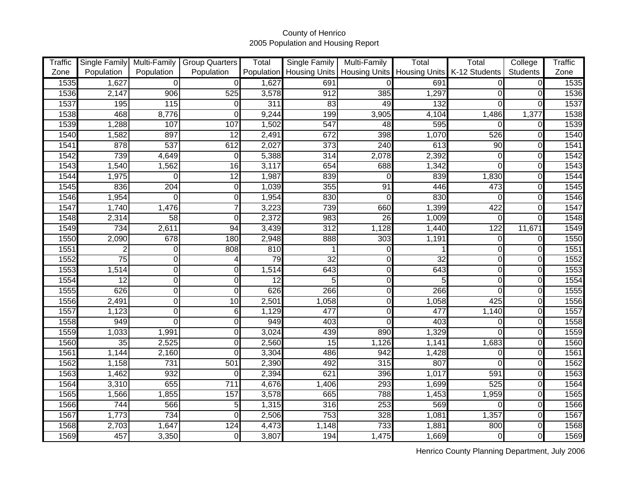| <b>Traffic</b> |                 |                | Single Family Multi-Family Group Quarters | Total      | <b>Single Family</b> | Multi-Family    | Total                | Total         | College         | Traffic |
|----------------|-----------------|----------------|-------------------------------------------|------------|----------------------|-----------------|----------------------|---------------|-----------------|---------|
| Zone           | Population      | Population     | Population                                | Population | <b>Housing Units</b> | Housing Units   | <b>Housing Units</b> | K-12 Students | <b>Students</b> | Zone    |
| 1535           | 1,627           | $\overline{0}$ | $\Omega$                                  | 1,627      | 691                  |                 | 691                  | $\Omega$      | $\overline{0}$  | 1535    |
| 1536           | 2,147           | 906            | 525                                       | 3,578      | 912                  | 385             | 1,297                |               | 0               | 1536    |
| 1537           | 195             | 115            | 0                                         | 311        | 83                   | 49              | 132                  | 0             | $\Omega$        | 1537    |
| 1538           | 468             | 8,776          | 0                                         | 9,244      | 199                  | 3,905           | 4,104                | 1,486         | 1,377           | 1538    |
| 1539           | 1,288           | 107            | 107                                       | 1,502      | 547                  | $\overline{48}$ | 595                  | $\Omega$      | 0               | 1539    |
| 1540           | 1,582           | 897            | $\overline{12}$                           | 2,491      | 672                  | 398             | 1,070                | 526           | $\Omega$        | 1540    |
| 1541           | 878             | 537            | 612                                       | 2,027      | 373                  | 240             | 613                  | 90            | 0               | 1541    |
| 1542           | 739             | 4,649          | $\Omega$                                  | 5,388      | 314                  | 2,078           | 2,392                | $\Omega$      | 0               | 1542    |
| 1543           | 1,540           | 1,562          | 16                                        | 3,117      | 654                  | 688             | 1,342                | 0             | $\Omega$        | 1543    |
| 1544           | 1,975           | $\overline{O}$ | 12                                        | 1,987      | 839                  | 0               | 839                  | 1,830         | $\mathbf 0$     | 1544    |
| 1545           | 836             | 204            | $\mathbf 0$                               | 1,039      | 355                  | 91              | 446                  | 473           | 0               | 1545    |
| 1546           | 1,954           | $\Omega$       | 0                                         | 1,954      | 830                  | ∩               | 830                  | 0             | $\Omega$        | 1546    |
| 1547           | 1,740           | 1,476          | 7                                         | 3,223      | 739                  | 660             | 1,399                | 422           | 0               | 1547    |
| 1548           | 2,314           | 58             | $\overline{0}$                            | 2,372      | 983                  | 26              | 1,009                | 0             | $\Omega$        | 1548    |
| 1549           | 734             | 2,611          | 94                                        | 3,439      | $\overline{312}$     | 1,128           | 1,440                | 122           | 11,671          | 1549    |
| 1550           | 2,090           | 678            | 180                                       | 2,948      | 888                  | 303             | 1,191                | $\Omega$      | 0               | 1550    |
| 1551           | 2               | 0              | 808                                       | 810        |                      |                 |                      | 0             | $\Omega$        | 1551    |
| 1552           | $\overline{75}$ | 0              | 4                                         | 79         | 32                   | O               | $\overline{32}$      | $\Omega$      | $\mathbf 0$     | 1552    |
| 1553           | 1,514           | $\overline{0}$ | 0                                         | 1,514      | 643                  | 0               | 643                  | $\Omega$      | 0               | 1553    |
| 1554           | 12              | $\overline{0}$ | $\Omega$                                  | 12         | 5                    | 0               | 5                    | $\Omega$      | $\Omega$        | 1554    |
| 1555           | 626             | $\overline{0}$ | $\Omega$                                  | 626        | 266                  | 0               | 266                  | 0             | 0               | 1555    |
| 1556           | 2,491           | $\overline{0}$ | 10                                        | 2,501      | 1,058                | $\Omega$        | 1,058                | 425           | $\mathbf 0$     | 1556    |
| 1557           | 1,123           | $\overline{0}$ | $6\phantom{1}6$                           | 1,129      | 477                  | O               | 477                  | 1,140         | $\mathbf 0$     | 1557    |
| 1558           | 949             | $\overline{0}$ | 0                                         | 949        | 403                  | n               | 403                  | O             | $\mathbf 0$     | 1558    |
| 1559           | 1,033           | 1,991          | 0                                         | 3,024      | 439                  | 890             | 1,329                | n             | $\mathbf 0$     | 1559    |
| 1560           | $\overline{35}$ | 2,525          | 0                                         | 2,560      | 15                   | 1,126           | 1,141                | 1,683         | $\mathbf 0$     | 1560    |
| 1561           | 1,144           | 2,160          | $\Omega$                                  | 3,304      | 486                  | 942             | 1,428                | O             | $\Omega$        | 1561    |
| 1562           | 1,158           | 731            | 501                                       | 2,390      | 492                  | 315             | 807                  |               | 0               | 1562    |
| 1563           | 1,462           | 932            |                                           | 2,394      | 621                  | 396             | 1,017                | 591           | $\mathbf 0$     | 1563    |
| 1564           | 3,310           | 655            | 711                                       | 4,676      | 1,406                | 293             | 1,699                | 525           | $\mathbf 0$     | 1564    |
| 1565           | 1,566           | 1,855          | 157                                       | 3,578      | 665                  | 788             | 1,453                | 1,959         | $\mathbf 0$     | 1565    |
| 1566           | 744             | 566            | 5                                         | 1,315      | 316                  | 253             | 569                  |               | $\Omega$        | 1566    |
| 1567           | 1,773           | 734            | $\Omega$                                  | 2,506      | 753                  | 328             | 1,081                | 1,357         | $\mathbf 0$     | 1567    |
| 1568           | 2,703           | 1,647          | 124                                       | 4,473      | 1,148                | 733             | 1,881                | 800           | $\mathbf 0$     | 1568    |
| 1569           | 457             | 3,350          | 0                                         | 3,807      | 194                  | 1,475           | 1,669                | $\Omega$      | $\mathbf 0$     | 1569    |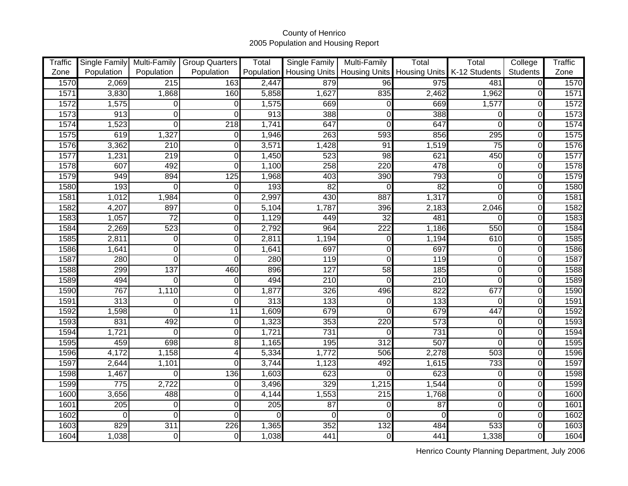| <b>Traffic</b> |                  |                  | Single Family Multi-Family Group Quarters | Total            | <b>Single Family</b> | Multi-Family    | Total                       | Total         | College         | <b>Traffic</b> |
|----------------|------------------|------------------|-------------------------------------------|------------------|----------------------|-----------------|-----------------------------|---------------|-----------------|----------------|
| Zone           | Population       | Population       | Population                                | Population       | <b>Housing Units</b> |                 | Housing Units Housing Units | K-12 Students | <b>Students</b> | Zone           |
| 1570           | 2,069            | 215              | 163                                       | 2,447            | 879                  | 96              | 975                         | 481           | $\overline{0}$  | 1570           |
| 1571           | 3,830            | 1,868            | 160                                       | 5,858            | 1,627                | 835             | 2,462                       | 1,962         | 0               | 1571           |
| 1572           | 1,575            | $\overline{0}$   | 0                                         | 1,575            | 669                  | 0               | 669                         | 1,577         | 0               | 1572           |
| 1573           | 913              | $\overline{0}$   | $\Omega$                                  | 913              | 388                  | 0               | 388                         | 0             | $\mathbf 0$     | 1573           |
| 1574           | 1,523            | $\overline{O}$   | $\overline{218}$                          | 1,741            | 647                  | $\Omega$        | 647                         | 0             | $\Omega$        | 1574           |
| 1575           | 619              | 1,327            | 0                                         | 1,946            | 263                  | 593             | 856                         | 295           | $\Omega$        | 1575           |
| 1576           | 3,362            | 210              | $\overline{0}$                            | 3,571            | 1,428                | 91              | 1,519                       | 75            | $\mathbf 0$     | 1576           |
| 1577           | 1,231            | 219              | 0                                         | 1,450            | 523                  | 98              | 621                         | 450           | $\mathbf 0$     | 1577           |
| 1578           | 607              | 492              | $\Omega$                                  | 1,100            | 258                  | 220             | 478                         | $\Omega$      | $\mathbf 0$     | 1578           |
| 1579           | 949              | 894              | 125                                       | 1,968            | 403                  | 390             | 793                         | $\Omega$      | $\mathbf 0$     | 1579           |
| 1580           | 193              | $\overline{O}$   | $\mathbf 0$                               | 193              | 82                   | O               | $\overline{82}$             | $\Omega$      | $\mathbf 0$     | 1580           |
| 1581           | 1,012            | 1,984            | $\Omega$                                  | 2,997            | 430                  | 887             | 1,317                       | 0             | $\Omega$        | 1581           |
| 1582           | 4,207            | 897              | 0                                         | 5,104            | 1,787                | 396             | 2,183                       | 2,046         | $\Omega$        | 1582           |
| 1583           | 1,057            | $\overline{72}$  | $\overline{0}$                            | 1,129            | 449                  | $\overline{32}$ | 481                         |               | $\mathbf 0$     | 1583           |
| 1584           | 2,269            | $\overline{523}$ | 0                                         | 2,792            | 964                  | 222             | 1,186                       | 550           | $\Omega$        | 1584           |
| 1585           | 2,811            | $\pmb{0}$        | 0                                         | 2,811            | 1,194                | 0               | 1,194                       | 610           | $\Omega$        | 1585           |
| 1586           | 1,641            | Ō                | 0                                         | 1,641            | 697                  | 0               | 697                         | 0             | $\Omega$        | 1586           |
| 1587           | 280              | Ō                | $\Omega$                                  | 280              | 119                  | $\Omega$        | 119                         | 0             | $\mathbf 0$     | 1587           |
| 1588           | 299              | 137              | 460                                       | 896              | 127                  | 58              | 185                         | $\Omega$      | 0               | 1588           |
| 1589           | 494              | $\overline{O}$   | 0                                         | 494              | 210                  | $\Omega$        | $\overline{210}$            | $\Omega$      | $\Omega$        | 1589           |
| 1590           | 767              | 1,110            | 0                                         | 1,877            | 326                  | 496             | 822                         | 677           | 0               | 1590           |
| 1591           | $\overline{313}$ | $\mathbf 0$      | 0                                         | 313              | 133                  | $\cap$          | 133                         | $\Omega$      | $\mathbf 0$     | 1591           |
| 1592           | 1,598            | $\mathbf 0$      | $\overline{11}$                           | 1,609            | 679                  | n               | 679                         | 447           | 0               | 1592           |
| 1593           | 831              | 492              | $\overline{0}$                            | 1,323            | $\frac{1}{353}$      | 220             | 573                         | $\Omega$      | $\mathbf 0$     | 1593           |
| 1594           | 1,721            | $\overline{O}$   | 0                                         | 1,721            | 731                  |                 | 731                         | 0             | $\mathbf 0$     | 1594           |
| 1595           | 459              | 698              | $\overline{8}$                            | 1,165            | 195                  | 312             | 507                         | O             | $\mathbf 0$     | 1595           |
| 1596           | 4,172            | 1,158            | $\overline{4}$                            | 5,334            | 1,772                | 506             | 2,278                       | 503           | $\Omega$        | 1596           |
| 1597           | 2,644            | 1,101            | $\Omega$                                  | 3,744            | 1,123                | 492             | 1,615                       | 733           | 0               | 1597           |
| 1598           | 1,467            | $\overline{0}$   | 136                                       | 1,603            | 623                  | $\cap$          | 623                         | $\Omega$      | $\mathbf 0$     | 1598           |
| 1599           | 775              | 2,722            | 0                                         | 3,496            | 329                  | 1,215           | 1,544                       | $\Omega$      | $\mathbf 0$     | 1599           |
| 1600           | 3,656            | 488              | 0                                         | 4,144            | 1,553                | 215             | 1,768                       | $\Omega$      | $\mathbf 0$     | 1600           |
| 1601           | 205              | $\mathbf 0$      | 0                                         | $\overline{205}$ | 87                   | $\Omega$        | $\overline{87}$             | $\Omega$      | $\mathbf 0$     | 1601           |
| 1602           | 0                | $\overline{0}$   | $\Omega$                                  | $\Omega$         | 0                    | $\Omega$        | $\Omega$                    |               | $\mathbf 0$     | 1602           |
| 1603           | 829              | 311              | 226                                       | 1,365            | 352                  | 132             | 484                         | 533           | $\mathbf 0$     | 1603           |
| 1604           | 1,038            | $\overline{0}$   | 0                                         | 1,038            | 441                  | 0               | 441                         | 1,338         | $\mathbf 0$     | 1604           |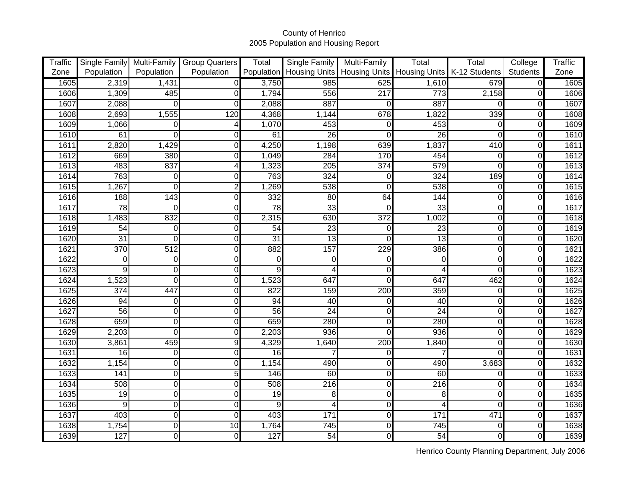| Traffic |                  |                         | Single Family   Multi-Family   Group Quarters | Total           | Single Family           | Multi-Family | Total                                         | Total         | College        | Traffic |
|---------|------------------|-------------------------|-----------------------------------------------|-----------------|-------------------------|--------------|-----------------------------------------------|---------------|----------------|---------|
| Zone    | Population       | Population              | Population                                    | Population      |                         |              | Housing Units   Housing Units   Housing Units | K-12 Students | Students       | Zone    |
| 1605    | 2,319            | 1,431                   | $\Omega$                                      | 3,750           | 985                     | 625          | 1,610                                         | 679           | $\overline{0}$ | 1605    |
| 1606    | 1,309            | 485                     | 0                                             | 1,794           | 556                     | 217          | 773                                           | 2,158         | 0              | 1606    |
| 1607    | 2,088            | $\mathbf 0$             | $\Omega$                                      | 2,088           | 887                     | 0            | 887                                           |               | 0              | 1607    |
| 1608    | 2,693            | 1,555                   | 120                                           | 4,368           | 1,144                   | 678          | 1,822                                         | 339           | $\Omega$       | 1608    |
| 1609    | 1,066            | $\mathbf 0$             | 4                                             | 1,070           | 453                     | 0            | 453                                           | 0             | 0              | 1609    |
| 1610    | 61               | $\overline{\mathsf{o}}$ | 0                                             | 61              | $\overline{26}$         | $\Omega$     | 26                                            | $\Omega$      | $\mathbf 0$    | 1610    |
| 1611    | 2,820            | 1,429                   | 0                                             | 4,250           | 1,198                   | 639          | 1,837                                         | 410           | 0              | 1611    |
| 1612    | 669              | 380                     | 0                                             | 1,049           | 284                     | 170          | 454                                           | $\Omega$      | 0              | 1612    |
| 1613    | 483              | 837                     | 4                                             | 1,323           | 205                     | 374          | 579                                           | $\Omega$      | $\mathbf 0$    | 1613    |
| 1614    | 763              | O                       | 0                                             | 763             | 324                     | 0            | 324                                           | 189           | 0              | 1614    |
| 1615    | 1,267            | $\overline{0}$          | $\overline{c}$                                | 1,269           | 538                     | $\Omega$     | 538                                           | $\Omega$      | $\Omega$       | 1615    |
| 1616    | 188              | 143                     | $\overline{0}$                                | 332             | 80                      | 64           | 144                                           | $\Omega$      | $\Omega$       | 1616    |
| 1617    | 78               | $\overline{O}$          | 0                                             | 78              | 33                      | $\Omega$     | $\overline{33}$                               | $\Omega$      | $\mathbf 0$    | 1617    |
| 1618    | 1,483            | 832                     | 0                                             | 2,315           | 630                     | 372          | 1,002                                         | $\Omega$      | 0              | 1618    |
| 1619    | 54               | $\overline{O}$          | 0                                             | 54              | 23                      | 0            | 23                                            | $\Omega$      | $\Omega$       | 1619    |
| 1620    | $\overline{31}$  | $\overline{O}$          | 0                                             | $\overline{31}$ | 13                      | O            | $\overline{13}$                               | $\Omega$      | $\Omega$       | 1620    |
| 1621    | 370              | 512                     | 0                                             | 882             | 157                     | 229          | 386                                           | $\Omega$      | 0              | 1621    |
| 1622    | 0                | $\overline{O}$          | $\Omega$                                      | $\Omega$        | 0                       | 0            | $\Omega$                                      | $\Omega$      | $\Omega$       | 1622    |
| 1623    | $\overline{9}$   | O                       | 0                                             | 9               | 4                       | 0            | Δ                                             | $\Omega$      | $\mathbf 0$    | 1623    |
| 1624    | 1,523            | O                       | 0                                             | 1,523           | 647                     | O            | 647                                           | 462           | $\mathbf 0$    | 1624    |
| 1625    | $\overline{374}$ | 447                     | 0                                             | 822             | 159                     | 200          | 359                                           | $\Omega$      | $\mathbf 0$    | 1625    |
| 1626    | 94               | $\overline{0}$          | 0                                             | 94              | 40                      | O            | 40                                            | 0             | 0              | 1626    |
| 1627    | 56               | $\overline{0}$          | 0                                             | 56              | $\overline{24}$         | O            | $\overline{24}$                               | $\Omega$      | $\mathbf 0$    | 1627    |
| 1628    | 659              | $\overline{0}$          | 0                                             | 659             | 280                     | $\Omega$     | 280                                           | $\Omega$      | $\mathbf 0$    | 1628    |
| 1629    | 2,203            | O                       | 0                                             | 2,203           | 936                     | O            | 936                                           | $\Omega$      | $\mathbf 0$    | 1629    |
| 1630    | 3,861            | 459                     | $\overline{9}$                                | 4,329           | 1,640                   | 200          | 1,840                                         | $\Omega$      | $\mathbf 0$    | 1630    |
| 1631    | $\overline{16}$  | $\overline{0}$          | 0                                             | $\overline{16}$ | 7                       | O            |                                               | O             | $\mathbf 0$    | 1631    |
| 1632    | 1,154            | $\overline{0}$          | 0                                             | 1,154           | 490                     | 0            | 490                                           | 3,683         | $\mathbf 0$    | 1632    |
| 1633    | 141              | $\overline{0}$          | 5                                             | 146             | 60                      | 0            | $\overline{60}$                               | $\Omega$      | 0              | 1633    |
| 1634    | 508              | $\overline{0}$          | 0                                             | 508             | 216                     | $\Omega$     | $\overline{216}$                              | $\Omega$      | $\mathbf 0$    | 1634    |
| 1635    | $\overline{19}$  | $\overline{0}$          | 0                                             | $\overline{19}$ | $\overline{8}$          | $\Omega$     | 8                                             | O             | $\mathbf 0$    | 1635    |
| 1636    | 9                | $\overline{0}$          | 0                                             | 9               | $\overline{\mathbf{4}}$ | $\Omega$     |                                               | O             | $\mathbf 0$    | 1636    |
| 1637    | 403              | $\overline{0}$          | $\overline{0}$                                | 403             | 171                     | $\Omega$     | 171                                           | 471           | $\mathbf 0$    | 1637    |
| 1638    | 1,754            | $\overline{0}$          | 10                                            | 1,764           | 745                     | 0            | $\overline{745}$                              | $\Omega$      | $\mathbf 0$    | 1638    |
| 1639    | 127              | $\overline{0}$          | 0                                             | 127             | 54                      | 0            | 54                                            | $\Omega$      | $\mathbf 0$    | 1639    |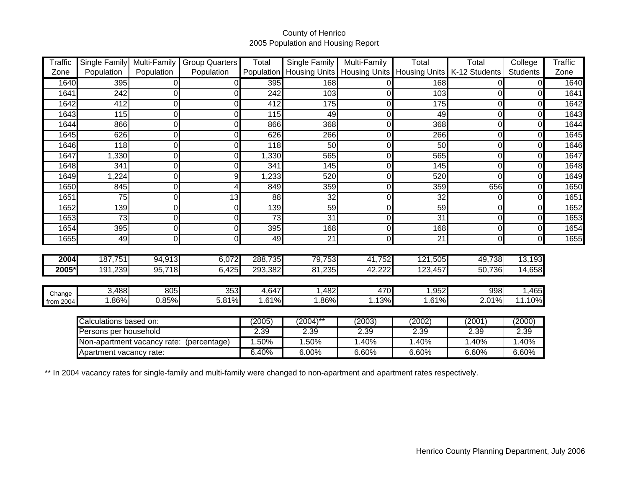| <b>Traffic</b> | Single Family           | Multi-Family | Group Quarters                           | Total           | Single Family   | Multi-Family | Total                                         | Total         | College         | Traffic |
|----------------|-------------------------|--------------|------------------------------------------|-----------------|-----------------|--------------|-----------------------------------------------|---------------|-----------------|---------|
| Zone           | Population              | Population   | Population                               | Population      |                 |              | Housing Units   Housing Units   Housing Units | K-12 Students | <b>Students</b> | Zone    |
| 1640           | 395                     | 0            |                                          | 395             | 168             |              | 168                                           |               |                 | 1640    |
| 1641           | 242                     | 0            |                                          | 242             | 103             |              | 103                                           |               |                 | 1641    |
| 1642           | 412                     | 0            |                                          | 412             | 175             |              | 175                                           | 0             |                 | 1642    |
| 1643           | 115                     | 0            |                                          | 115             | 49              |              | 49                                            | $\Omega$      |                 | 1643    |
| 1644           | 866                     | 0            |                                          | 866             | 368             | U            | 368                                           | $\Omega$      |                 | 1644    |
| 1645           | 626                     | 0            |                                          | 626             | 266             |              | 266                                           | $\Omega$      |                 | 1645    |
| 1646           | 118                     | 0            |                                          | 118             | 50              | ∩            | 50                                            | $\Omega$      |                 | 1646    |
| 1647           | 1,330                   | 0            |                                          | 1,330           | 565             |              | $\overline{565}$                              | 0             |                 | 1647    |
| 1648           | 341                     | 0            |                                          | 341             | 145             | U            | 145                                           | $\Omega$      |                 | 1648    |
| 1649           | ,224                    | 0            | 9                                        | 1,233           | 520             | U            | 520                                           | $\Omega$      |                 | 1649    |
| 1650           | 845                     | 0            |                                          | 849             | 359             |              | 359                                           | 656           |                 | 1650    |
| 1651           | $\overline{75}$         | 0            | 13                                       | $\overline{88}$ | $\overline{32}$ | U            | $\overline{32}$                               | $\Omega$      |                 | 1651    |
| 1652           | 139                     | 0            |                                          | 139             | 59              |              | 59                                            |               |                 | 1652    |
| 1653           | $\overline{73}$         | 0            | 0                                        | $\overline{73}$ | 31              | ∩            | $\overline{31}$                               | $\Omega$      |                 | 1653    |
| 1654           | 395                     | 0            |                                          | 395             | 168             |              | 168                                           | 0             |                 | 1654    |
| 1655           | 49                      | 0            | $\Omega$                                 | 49              | 21              | O            | 21                                            | $\Omega$      |                 | 1655    |
|                |                         |              |                                          |                 |                 |              |                                               |               |                 |         |
| 2004           | 187,751                 | 94,913       | 6,072                                    | 288,735         | 79,753          | 41,752       | 121,505                                       | 49,738        | 13,193          |         |
| 2005*          | 191,239                 | 95,718       | 6,425                                    | 293,382         | 81,235          | 42,222       | 123,457                                       | 50,736        | 14,658          |         |
|                |                         |              |                                          |                 |                 |              |                                               |               |                 |         |
| Change         | 3,488                   | 805          | 353                                      | 4,647           | 1,482           | 470          | 1,952                                         | 998           | 1,465           |         |
| from 2004      | 1.86%                   | 0.85%        | 5.81%                                    | 1.61%           | 1.86%           | 1.13%        | 1.61%                                         | 2.01%         | 11.10%          |         |
|                |                         |              |                                          |                 |                 |              |                                               |               |                 |         |
|                | Calculations based on:  |              |                                          | (2005)          | $(2004)$ **     | (2003)       | (2002)                                        | (2001)        | (2000)          |         |
|                | Persons per household   |              |                                          | 2.39            | 2.39            | 2.39         | 2.39                                          | 2.39          | 2.39            |         |
|                |                         |              | Non-apartment vacancy rate: (percentage) | 1.50%           | 1.50%           | 1.40%        | 1.40%                                         | 1.40%         | 1.40%           |         |
|                | Apartment vacancy rate: |              |                                          | 6.40%           | 6.00%           | 6.60%        | 6.60%                                         | 6.60%         | 6.60%           |         |

\*\* In 2004 vacancy rates for single-family and multi-family were changed to non-apartment and apartment rates respectively.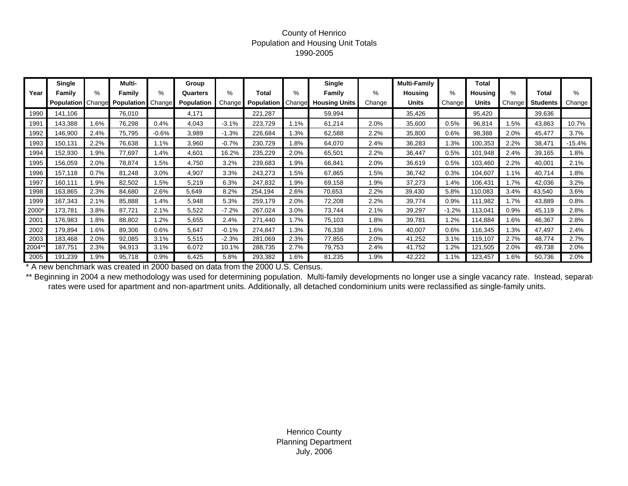#### County of Henrico Population and Housing Unit Totals 1990-2005

|       | Single            |        | Multi-            |                     | Group             |         |                   |        | Single               |        | <b>Multi-Family</b> |         | Total   |        |                 |          |
|-------|-------------------|--------|-------------------|---------------------|-------------------|---------|-------------------|--------|----------------------|--------|---------------------|---------|---------|--------|-----------------|----------|
| Year  | Family            | %      | Family            | %                   | Quarters          | $\%$    | <b>Total</b>      | %      | <b>Family</b>        | %      | Housing             | %       | Housing | %      | Total           | %        |
|       | <b>Population</b> | Changr | <b>Population</b> | Change <sup>®</sup> | <b>Population</b> | Change  | <b>Population</b> | Change | <b>Housing Units</b> | Change | Units               | Change  | Units   | Change | <b>Students</b> | Change   |
| 1990  | 141,106           |        | 76,010            |                     | 4,171             |         | 221,287           |        | 59,994               |        | 35,426              |         | 95,420  |        | 39,636          |          |
| 1991  | 143,388           | .6%    | 76,298            | 0.4%                | 4,043             | $-3.1%$ | 223,729           | 1.1%   | 61,214               | 2.0%   | 35,600              | 0.5%    | 96,814  | 1.5%   | 43,863          | 10.7%    |
| 1992  | 146,900           | 2.4%   | 75,795            | $-0.6%$             | 3,989             | $-1.3%$ | 226,684           | 1.3%   | 62,588               | 2.2%   | 35,800              | 0.6%    | 98,388  | 2.0%   | 45,477          | 3.7%     |
| 1993  | 150,131           | 2.2%   | 76,638            | 1.1%                | 3,960             | $-0.7%$ | 230,729           | 1.8%   | 64,070               | 2.4%   | 36,283              | 1.3%    | 100,353 | 2.2%   | 38,471          | $-15.4%$ |
| 1994  | 152,930           | 1.9%   | 77,697            | 1.4%                | 4,601             | 16.2%   | 235,229           | 2.0%   | 65,501               | 2.2%   | 36,447              | 0.5%    | 101,948 | 2.4%   | 39,165          | 1.8%     |
| 1995  | 156,059           | 2.0%   | 78,874            | 1.5%                | 4,750             | 3.2%    | 239,683           | 1.9%   | 66,841               | 2.0%   | 36,619              | 0.5%    | 103,460 | 2.2%   | 40,001          | 2.1%     |
| 1996  | 157,118           | 0.7%   | 81,248            | 3.0%                | 4,907             | 3.3%    | 243,273           | l.5%   | 67,865               | 1.5%   | 36,742              | 0.3%    | 104,607 | 1.1%   | 40,714          | 1.8%     |
| 1997  | 160,111           | 1.9%   | 82,502            | 1.5%                | 5,219             | 6.3%    | 247,832           | 1.9%   | 69,158               | 1.9%   | 37,273              | 1.4%    | 106,431 | 1.7%   | 42,036          | 3.2%     |
| 1998  | 163,865           | 2.3%   | 84,680            | 2.6%                | 5,649             | 8.2%    | 254,194           | 2.6%   | 70,653               | 2.2%   | 39,430              | 5.8%    | 110,083 | 3.4%   | 43,540          | 3.6%     |
| 1999  | 167,343           | 2.1%   | 85,888            | 1.4%                | 5,948             | 5.3%    | 259,179           | 2.0%   | 72,208               | 2.2%   | 39,774              | 0.9%    | 111,982 | 1.7%   | 43,889          | 0.8%     |
| 2000* | 173,781           | 3.8%   | 87,721            | 2.1%                | 5,522             | $-7.2%$ | 267,024           | 3.0%   | 73,744               | 2.1%   | 39,297              | $-1.2%$ | 113,041 | 0.9%   | 45,119          | 2.8%     |
| 2001  | 176,983           | .8%    | 88,802            | 1.2%                | 5,655             | 2.4%    | 271,440           | 1.7%   | 75,103               | 1.8%   | 39,781              | 1.2%    | 114,884 | 1.6%   | 46,367          | 2.8%     |
| 2002  | 179,894           | .6%    | 89,306            | 0.6%                | 5,647             | $-0.1%$ | 274,847           | 1.3%   | 76,338               | 1.6%   | 40,007              | 0.6%    | 116,345 | 1.3%   | 47,497          | 2.4%     |
| 2003  | 183,468           | 2.0%   | 92,085            | 3.1%                | 5,515             | $-2.3%$ | 281,069           | 2.3%   | 77,855               | 2.0%   | 41,252              | 3.1%    | 119,107 | 2.7%   | 48,774          | 2.7%     |
| 2004* | 187.751           | 2.3%   | 94,913            | 3.1%                | 6,072             | 10.1%   | 288,735           | 2.7%   | 79,753               | 2.4%   | 41,752              | 1.2%    | 121,505 | 2.0%   | 49,738          | 2.0%     |
| 2005  | 191,239           | 1.9%   | 95,718            | 0.9%                | 6,425             | 5.8%    | 293,382           | 1.6%   | 81,235               | 1.9%   | 42,222              | 1.1%    | 123,457 | 1.6%   | 50,736          | 2.0%     |

\* A new benchmark was created in 2000 based on data from the 2000 U.S. Census.

\*\* Beginning in 2004 a new methodology was used for determining population. Multi-family developments no longer use a single vacancy rate. Instead, separate rates were used for apartment and non-apartment units. Additionally, all detached condominium units were reclassified as single-family units.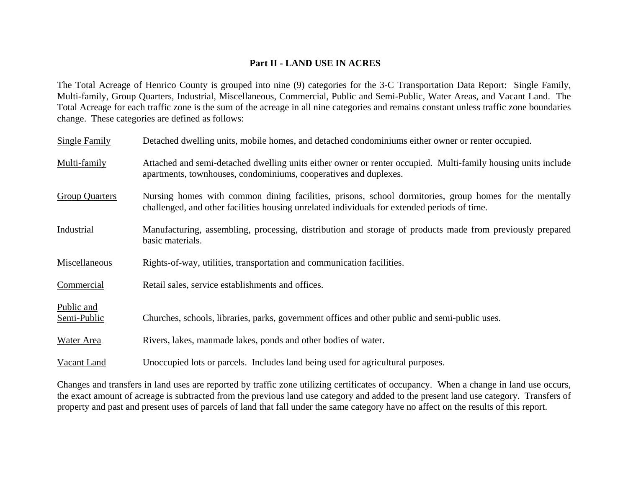#### **Part II - LAND USE IN ACRES**

The Total Acreage of Henrico County is grouped into nine (9) categories for the 3-C Transportation Data Report: Single Family, Multi-family, Group Quarters, Industrial, Miscellaneous, Commercial, Public and Semi-Public, Water Areas, and Vacant Land. The Total Acreage for each traffic zone is the sum of the acreage in all nine categories and remains constant unless traffic zone boundaries change. These categories are defined as follows:

| Single Family             | Detached dwelling units, mobile homes, and detached condominiums either owner or renter occupied.                                                                                                      |
|---------------------------|--------------------------------------------------------------------------------------------------------------------------------------------------------------------------------------------------------|
| Multi-family              | Attached and semi-detached dwelling units either owner or renter occupied. Multi-family housing units include<br>apartments, townhouses, condominiums, cooperatives and duplexes.                      |
| <b>Group Quarters</b>     | Nursing homes with common dining facilities, prisons, school dormitories, group homes for the mentally<br>challenged, and other facilities housing unrelated individuals for extended periods of time. |
| Industrial                | Manufacturing, assembling, processing, distribution and storage of products made from previously prepared<br>basic materials.                                                                          |
| Miscellaneous             | Rights-of-way, utilities, transportation and communication facilities.                                                                                                                                 |
| Commercial                | Retail sales, service establishments and offices.                                                                                                                                                      |
| Public and<br>Semi-Public | Churches, schools, libraries, parks, government offices and other public and semi-public uses.                                                                                                         |
| Water Area                | Rivers, lakes, manmade lakes, ponds and other bodies of water.                                                                                                                                         |
| Vacant Land               | Unoccupied lots or parcels. Includes land being used for agricultural purposes.                                                                                                                        |

Changes and transfers in land uses are reported by traffic zone utilizing certificates of occupancy. When a change in land use occurs, the exact amount of acreage is subtracted from the previous land use category and added to the present land use category. Transfers of property and past and present uses of parcels of land that fall under the same category have no affect on the results of this report.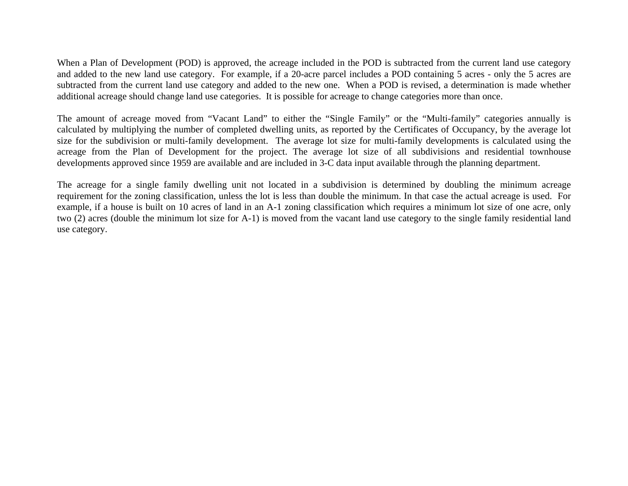When a Plan of Development (POD) is approved, the acreage included in the POD is subtracted from the current land use category and added to the new land use category. For example, if a 20-acre parcel includes a POD containing 5 acres - only the 5 acres are subtracted from the current land use category and added to the new one. When a POD is revised, a determination is made whether additional acreage should change land use categories. It is possible for acreage to change categories more than once.

The amount of acreage moved from "Vacant Land" to either the "Single Family" or the "Multi-family" categories annually is calculated by multiplying the number of completed dwelling units, as reported by the Certificates of Occupancy, by the average lot size for the subdivision or multi-family development. The average lot size for multi-family developments is calculated using the acreage from the Plan of Development for the project. The average lot size of all subdivisions and residential townhouse developments approved since 1959 are available and are included in 3-C data input available through the planning department.

The acreage for a single family dwelling unit not located in a subdivision is determined by doubling the minimum acreage requirement for the zoning classification, unless the lot is less than double the minimum. In that case the actual acreage is used. For example, if a house is built on 10 acres of land in an A-1 zoning classification which requires a minimum lot size of one acre, only two (2) acres (double the minimum lot size for A-1) is moved from the vacant land use category to the single family residential land use category.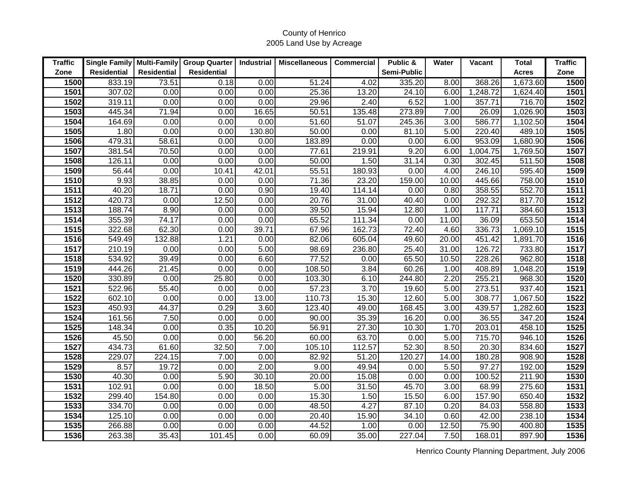| <b>Traffic</b>    |                    |                    | Single Family   Multi-Family   Group Quarter | Industrial | <b>Miscellaneous</b> | <b>Commercial</b> | Public &    | Water | <b>Vacant</b> | Total        | <b>Traffic</b> |
|-------------------|--------------------|--------------------|----------------------------------------------|------------|----------------------|-------------------|-------------|-------|---------------|--------------|----------------|
| Zone              | <b>Residential</b> | <b>Residential</b> | <b>Residential</b>                           |            |                      |                   | Semi-Public |       |               | <b>Acres</b> | Zone           |
| 1500              | 833.19             | 73.51              | 0.18                                         | 0.00       | 51.24                | 4.02              | 335.20      | 8.00  | 368.26        | 1,673.60     | 1500           |
| 1501              | 307.02             | 0.00               | 0.00                                         | 0.00       | 25.36                | 13.20             | 24.10       | 6.00  | 1,248.72      | 1,624.40     | 1501           |
| 1502              | 319.11             | 0.00               | 0.00                                         | 0.00       | 29.96                | 2.40              | 6.52        | 1.00  | 357.71        | 716.70       | 1502           |
| 1503              | 445.34             | 71.94              | 0.00                                         | 16.65      | 50.51                | 135.48            | 273.89      | 7.00  | 26.09         | 1,026.90     | 1503           |
| 1504              | 164.69             | 0.00               | 0.00                                         | 0.00       | 51.60                | 51.07             | 245.36      | 3.00  | 586.77        | 1,102.50     | 1504           |
| 1505              | 1.80               | 0.00               | 0.00                                         | 130.80     | 50.00                | 0.00              | 81.10       | 5.00  | 220.40        | 489.10       | 1505           |
| 1506              | 479.31             | 58.61              | 0.00                                         | 0.00       | 183.89               | 0.00              | 0.00        | 6.00  | 953.09        | 1,680.90     | 1506           |
| 1507              | 381.54             | 70.50              | 0.00                                         | 0.00       | 77.61                | 219.91            | 9.20        | 6.00  | 1,004.75      | 1,769.50     | 1507           |
| 1508              | 126.11             | 0.00               | 0.00                                         | 0.00       | 50.00                | 1.50              | 31.14       | 0.30  | 302.45        | 511.50       | 1508           |
| 1509              | 56.44              | 0.00               | 10.41                                        | 42.01      | 55.51                | 180.93            | 0.00        | 4.00  | 246.10        | 595.40       | 1509           |
| 1510              | 9.93               | 38.85              | 0.00                                         | 0.00       | 71.36                | 23.20             | 159.00      | 10.00 | 445.66        | 758.00       | 1510           |
| 1511              | 40.20              | 18.71              | 0.00                                         | 0.90       | 19.40                | 114.14            | 0.00        | 0.80  | 358.55        | 552.70       | 1511           |
| 1512              | 420.73             | 0.00               | 12.50                                        | 0.00       | 20.76                | 31.00             | 40.40       | 0.00  | 292.32        | 817.70       | 1512           |
| 1513              | 188.74             | 8.90               | 0.00                                         | 0.00       | 39.50                | 15.94             | 12.80       | 1.00  | 117.71        | 384.60       | 1513           |
| 1514              | 355.39             | 74.17              | 0.00                                         | 0.00       | 65.52                | 111.34            | 0.00        | 11.00 | 36.09         | 653.50       | 1514           |
| 1515              | 322.68             | 62.30              | 0.00                                         | 39.71      | 67.96                | 162.73            | 72.40       | 4.60  | 336.73        | 1,069.10     | 1515           |
| 1516              | 549.49             | 132.88             | 1.21                                         | 0.00       | 82.06                | 605.04            | 49.60       | 20.00 | 451.42        | 1,891.70     | 1516           |
| 1517              | 210.19             | 0.00               | 0.00                                         | 5.00       | 98.69                | 236.80            | 25.40       | 31.00 | 126.72        | 733.80       | 1517           |
| 1518              | 534.92             | 39.49              | 0.00                                         | 6.60       | 77.52                | 0.00              | 65.50       | 10.50 | 228.26        | 962.80       | 1518           |
| 1519              | 444.26             | 21.45              | 0.00                                         | 0.00       | 108.50               | 3.84              | 60.26       | 1.00  | 408.89        | 1,048.20     | 1519           |
| 1520              | 330.89             | 0.00               | 25.80                                        | 0.00       | 103.30               | 6.10              | 244.80      | 2.20  | 255.21        | 968.30       | 1520           |
| $\overline{1521}$ | 522.96             | 55.40              | 0.00                                         | 0.00       | 57.23                | 3.70              | 19.60       | 5.00  | 273.51        | 937.40       | 1521           |
| 1522              | 602.10             | 0.00               | 0.00                                         | 13.00      | 110.73               | 15.30             | 12.60       | 5.00  | 308.77        | 1,067.50     | 1522           |
| 1523              | 450.93             | 44.37              | 0.29                                         | 3.60       | 123.40               | 49.00             | 168.45      | 3.00  | 439.57        | 1,282.60     | 1523           |
| 1524              | 161.56             | 7.50               | 0.00                                         | 0.00       | 90.00                | 35.39             | 16.20       | 0.00  | 36.55         | 347.20       | 1524           |
| 1525              | 148.34             | 0.00               | 0.35                                         | 10.20      | 56.91                | 27.30             | 10.30       | 1.70  | 203.01        | 458.10       | 1525           |
| 1526              | 45.50              | 0.00               | 0.00                                         | 56.20      | 60.00                | 63.70             | 0.00        | 5.00  | 715.70        | 946.10       | 1526           |
| 1527              | 434.73             | 61.60              | 32.50                                        | 7.00       | 105.10               | 112.57            | 52.30       | 8.50  | 20.30         | 834.60       | 1527           |
| 1528              | 229.07             | 224.15             | 7.00                                         | 0.00       | 82.92                | 51.20             | 120.27      | 14.00 | 180.28        | 908.90       | 1528           |
| 1529              | 8.57               | 19.72              | 0.00                                         | 2.00       | 9.00                 | 49.94             | 0.00        | 5.50  | 97.27         | 192.00       | 1529           |
| 1530              | 40.30              | 0.00               | 5.90                                         | 30.10      | 20.00                | 15.08             | 0.00        | 0.00  | 100.52        | 211.90       | 1530           |
| 1531              | 102.91             | 0.00               | 0.00                                         | 18.50      | 5.00                 | 31.50             | 45.70       | 3.00  | 68.99         | 275.60       | 1531           |
| 1532              | 299.40             | 154.80             | 0.00                                         | 0.00       | 15.30                | 1.50              | 15.50       | 6.00  | 157.90        | 650.40       | 1532           |
| 1533              | 334.70             | 0.00               | 0.00                                         | 0.00       | 48.50                | 4.27              | 87.10       | 0.20  | 84.03         | 558.80       | 1533           |
| 1534              | 125.10             | 0.00               | 0.00                                         | 0.00       | 20.40                | 15.90             | 34.10       | 0.60  | 42.00         | 238.10       | 1534           |
| 1535              | 266.88             | 0.00               | 0.00                                         | 0.00       | 44.52                | 1.00              | 0.00        | 12.50 | 75.90         | 400.80       | 1535           |
| 1536              | 263.38             | 35.43              | 101.45                                       | 0.00       | 60.09                | 35.00             | 227.04      | 7.50  | 168.01        | 897.90       | 1536           |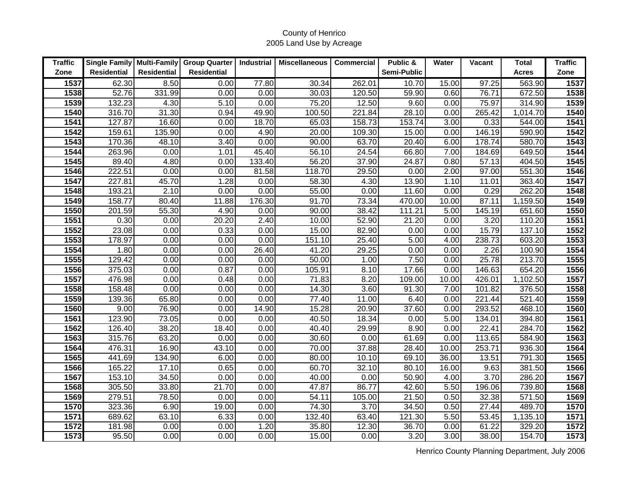| <b>Traffic</b> |                    |                    | Single Family   Multi-Family   Group Quarter | <b>Industrial</b> | <b>Miscellaneous</b> | <b>Commercial</b> | Public &    | Water | <b>Vacant</b> | Total        | <b>Traffic</b> |
|----------------|--------------------|--------------------|----------------------------------------------|-------------------|----------------------|-------------------|-------------|-------|---------------|--------------|----------------|
| Zone           | <b>Residential</b> | <b>Residential</b> | <b>Residential</b>                           |                   |                      |                   | Semi-Public |       |               | <b>Acres</b> | Zone           |
| 1537           | 62.30              | 8.50               | 0.00                                         | 77.80             | 30.34                | 262.01            | 10.70       | 15.00 | 97.25         | 563.90       | 1537           |
| 1538           | 52.76              | 331.99             | 0.00                                         | 0.00              | 30.03                | 120.50            | 59.90       | 0.60  | 76.71         | 672.50       | 1538           |
| 1539           | 132.23             | 4.30               | 5.10                                         | 0.00              | 75.20                | 12.50             | 9.60        | 0.00  | 75.97         | 314.90       | 1539           |
| 1540           | 316.70             | 31.30              | 0.94                                         | 49.90             | 100.50               | 221.84            | 28.10       | 0.00  | 265.42        | 1,014.70     | 1540           |
| 1541           | 127.87             | 16.60              | 0.00                                         | 18.70             | 65.03                | 158.73            | 153.74      | 3.00  | 0.33          | 544.00       | 1541           |
| 1542           | 159.61             | 135.90             | 0.00                                         | 4.90              | 20.00                | 109.30            | 15.00       | 0.00  | 146.19        | 590.90       | 1542           |
| 1543           | 170.36             | 48.10              | 3.40                                         | 0.00              | 90.00                | 63.70             | 20.40       | 6.00  | 178.74        | 580.70       | 1543           |
| 1544           | 263.96             | 0.00               | 1.01                                         | 45.40             | 56.10                | 24.54             | 66.80       | 7.00  | 184.69        | 649.50       | 1544           |
| 1545           | 89.40              | 4.80               | 0.00                                         | 133.40            | 56.20                | 37.90             | 24.87       | 0.80  | 57.13         | 404.50       | 1545           |
| 1546           | 222.51             | 0.00               | 0.00                                         | 81.58             | 118.70               | 29.50             | 0.00        | 2.00  | 97.00         | 551.30       | 1546           |
| 1547           | 227.81             | 45.70              | 1.28                                         | 0.00              | 58.30                | 4.30              | 13.90       | 1.10  | 11.01         | 363.40       | 1547           |
| 1548           | 193.21             | 2.10               | 0.00                                         | 0.00              | 55.00                | 0.00              | 11.60       | 0.00  | 0.29          | 262.20       | 1548           |
| 1549           | 158.77             | 80.40              | 11.88                                        | 176.30            | 91.70                | 73.34             | 470.00      | 10.00 | 87.11         | 1,159.50     | 1549           |
| 1550           | 201.59             | 55.30              | 4.90                                         | 0.00              | 90.00                | 38.42             | 111.21      | 5.00  | 145.19        | 651.60       | 1550           |
| 1551           | 0.30               | 0.00               | 20.20                                        | 2.40              | 10.00                | 52.90             | 21.20       | 0.00  | 3.20          | 110.20       | 1551           |
| 1552           | 23.08              | 0.00               | 0.33                                         | 0.00              | 15.00                | 82.90             | 0.00        | 0.00  | 15.79         | 137.10       | 1552           |
| 1553           | 178.97             | 0.00               | 0.00                                         | 0.00              | 151.10               | 25.40             | 5.00        | 4.00  | 238.73        | 603.20       | 1553           |
| 1554           | 1.80               | 0.00               | 0.00                                         | 26.40             | 41.20                | 29.25             | 0.00        | 0.00  | 2.26          | 100.90       | 1554           |
| 1555           | 129.42             | 0.00               | 0.00                                         | 0.00              | 50.00                | 1.00              | 7.50        | 0.00  | 25.78         | 213.70       | 1555           |
| 1556           | 375.03             | 0.00               | 0.87                                         | 0.00              | 105.91               | 8.10              | 17.66       | 0.00  | 146.63        | 654.20       | 1556           |
| 1557           | 476.98             | 0.00               | 0.48                                         | 0.00              | 71.83                | 8.20              | 109.00      | 10.00 | 426.01        | 1,102.50     | 1557           |
| 1558           | 158.48             | 0.00               | 0.00                                         | 0.00              | 14.30                | 3.60              | 91.30       | 7.00  | 101.82        | 376.50       | 1558           |
| 1559           | 139.36             | 65.80              | 0.00                                         | 0.00              | 77.40                | 11.00             | 6.40        | 0.00  | 221.44        | 521.40       | 1559           |
| 1560           | 9.00               | 76.90              | 0.00                                         | 14.90             | 15.28                | 20.90             | 37.60       | 0.00  | 293.52        | 468.10       | 1560           |
| 1561           | 123.90             | 73.05              | 0.00                                         | 0.00              | 40.50                | 18.34             | 0.00        | 5.00  | 134.01        | 394.80       | 1561           |
| 1562           | 126.40             | 38.20              | 18.40                                        | 0.00              | 40.40                | 29.99             | 8.90        | 0.00  | 22.41         | 284.70       | 1562           |
| 1563           | 315.76             | 63.20              | 0.00                                         | 0.00              | 30.60                | 0.00              | 61.69       | 0.00  | 113.65        | 584.90       | 1563           |
| 1564           | 476.31             | 16.90              | 43.10                                        | 0.00              | 70.00                | 37.88             | 28.40       | 10.00 | 253.71        | 936.30       | 1564           |
| 1565           | 441.69             | 134.90             | 6.00                                         | 0.00              | 80.00                | 10.10             | 69.10       | 36.00 | 13.51         | 791.30       | 1565           |
| 1566           | 165.22             | 17.10              | 0.65                                         | 0.00              | 60.70                | 32.10             | 80.10       | 16.00 | 9.63          | 381.50       | 1566           |
| 1567           | 153.10             | 34.50              | 0.00                                         | 0.00              | 40.00                | 0.00              | 50.90       | 4.00  | 3.70          | 286.20       | 1567           |
| 1568           | 305.50             | 33.80              | 21.70                                        | 0.00              | 47.87                | 86.77             | 42.60       | 5.50  | 196.06        | 739.80       | 1568           |
| 1569           | 279.51             | 78.50              | 0.00                                         | 0.00              | 54.11                | 105.00            | 21.50       | 0.50  | 32.38         | 571.50       | 1569           |
| 1570           | 323.36             | 6.90               | 19.00                                        | 0.00              | 74.30                | 3.70              | 34.50       | 0.50  | 27.44         | 489.70       | 1570           |
| 1571           | 689.62             | 63.10              | 6.33                                         | 0.00              | 132.40               | 63.40             | 121.30      | 5.50  | 53.45         | 1,135.10     | 1571           |
| 1572           | 181.98             | 0.00               | 0.00                                         | 1.20              | 35.80                | 12.30             | 36.70       | 0.00  | 61.22         | 329.20       | 1572           |
| 1573           | 95.50              | 0.00               | 0.00                                         | 0.00              | 15.00                | 0.00              | 3.20        | 3.00  | 38.00         | 154.70       | 1573           |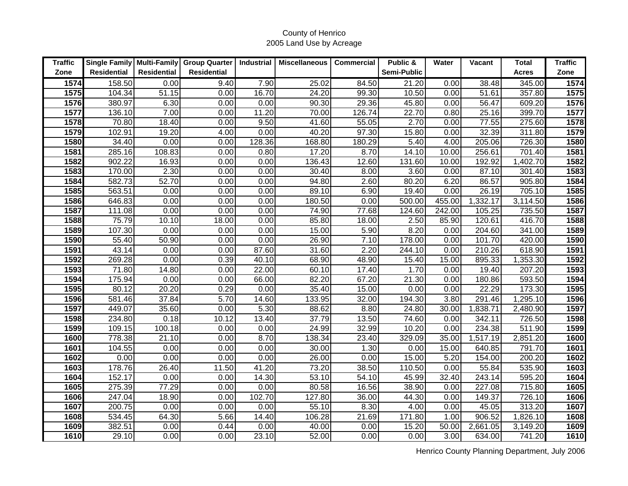| <b>Traffic</b>    | Single Family   Multi-Family |             | <b>Group Quarter</b> | Industrial | <b>Miscellaneous</b> | Commercial | Public &    | Water  | <b>Vacant</b> | Total        | <b>Traffic</b> |
|-------------------|------------------------------|-------------|----------------------|------------|----------------------|------------|-------------|--------|---------------|--------------|----------------|
| Zone              | <b>Residential</b>           | Residential | <b>Residential</b>   |            |                      |            | Semi-Public |        |               | <b>Acres</b> | Zone           |
| 1574              | 158.50                       | 0.00        | 9.40                 | 7.90       | 25.02                | 84.50      | 21.20       | 0.00   | 38.48         | 345.00       | 1574           |
| 1575              | 104.34                       | 51.15       | 0.00                 | 16.70      | 24.20                | 99.30      | 10.50       | 0.00   | 51.61         | 357.80       | 1575           |
| $\overline{1576}$ | 380.97                       | 6.30        | 0.00                 | 0.00       | 90.30                | 29.36      | 45.80       | 0.00   | 56.47         | 609.20       | 1576           |
| 1577              | 136.10                       | 7.00        | 0.00                 | 11.20      | 70.00                | 126.74     | 22.70       | 0.80   | 25.16         | 399.70       | 1577           |
| 1578              | 70.80                        | 18.40       | 0.00                 | 9.50       | 41.60                | 55.05      | 2.70        | 0.00   | 77.55         | 275.60       | 1578           |
| 1579              | 102.91                       | 19.20       | 4.00                 | 0.00       | 40.20                | 97.30      | 15.80       | 0.00   | 32.39         | 311.80       | 1579           |
| 1580              | 34.40                        | 0.00        | 0.00                 | 128.36     | 168.80               | 180.29     | 5.40        | 4.00   | 205.06        | 726.30       | 1580           |
| 1581              | 285.16                       | 108.83      | 0.00                 | 0.80       | 17.20                | 8.70       | 14.10       | 10.00  | 256.61        | 701.40       | 1581           |
| 1582              | 902.22                       | 16.93       | 0.00                 | 0.00       | 136.43               | 12.60      | 131.60      | 10.00  | 192.92        | 1,402.70     | 1582           |
| 1583              | 170.00                       | 2.30        | 0.00                 | 0.00       | 30.40                | 8.00       | 3.60        | 0.00   | 87.10         | 301.40       | 1583           |
| 1584              | 582.73                       | 52.70       | 0.00                 | 0.00       | 94.80                | 2.60       | 80.20       | 6.20   | 86.57         | 905.80       | 1584           |
| 1585              | 563.51                       | 0.00        | 0.00                 | 0.00       | 89.10                | 6.90       | 19.40       | 0.00   | 26.19         | 705.10       | 1585           |
| 1586              | 646.83                       | 0.00        | 0.00                 | 0.00       | 180.50               | 0.00       | 500.00      | 455.00 | 1,332.17      | 3,114.50     | 1586           |
| 1587              | 111.08                       | 0.00        | 0.00                 | 0.00       | 74.90                | 77.68      | 124.60      | 242.00 | 105.25        | 735.50       | 1587           |
| 1588              | 75.79                        | 10.10       | 18.00                | 0.00       | 85.80                | 18.00      | 2.50        | 85.90  | 120.61        | 416.70       | 1588           |
| 1589              | 107.30                       | 0.00        | 0.00                 | 0.00       | 15.00                | 5.90       | 8.20        | 0.00   | 204.60        | 341.00       | 1589           |
| 1590              | 55.40                        | 50.90       | 0.00                 | 0.00       | 26.90                | 7.10       | 178.00      | 0.00   | 101.70        | 420.00       | 1590           |
| 1591              | 43.14                        | 0.00        | 0.00                 | 87.60      | 31.60                | 2.20       | 244.10      | 0.00   | 210.26        | 618.90       | 1591           |
| 1592              | 269.28                       | 0.00        | 0.39                 | 40.10      | 68.90                | 48.90      | 15.40       | 15.00  | 895.33        | 1,353.30     | 1592           |
| 1593              | 71.80                        | 14.80       | 0.00                 | 22.00      | 60.10                | 17.40      | 1.70        | 0.00   | 19.40         | 207.20       | 1593           |
| 1594              | 175.94                       | 0.00        | 0.00                 | 66.00      | 82.20                | 67.20      | 21.30       | 0.00   | 180.86        | 593.50       | 1594           |
| 1595              | 80.12                        | 20.20       | 0.29                 | 0.00       | 35.40                | 15.00      | 0.00        | 0.00   | 22.29         | 173.30       | 1595           |
| 1596              | 581.46                       | 37.84       | 5.70                 | 14.60      | 133.95               | 32.00      | 194.30      | 3.80   | 291.46        | 1,295.10     | 1596           |
| 1597              | 449.07                       | 35.60       | 0.00                 | 5.30       | 88.62                | 8.80       | 24.80       | 30.00  | 1,838.71      | 2,480.90     | 1597           |
| 1598              | 234.80                       | 0.18        | 10.12                | 13.40      | 37.79                | 13.50      | 74.60       | 0.00   | 342.11        | 726.50       | 1598           |
| 1599              | 109.15                       | 100.18      | 0.00                 | 0.00       | 24.99                | 32.99      | 10.20       | 0.00   | 234.38        | 511.90       | 1599           |
| 1600              | 778.38                       | 21.10       | 0.00                 | 8.70       | 138.34               | 23.40      | 329.09      | 35.00  | 1,517.19      | 2,851.20     | 1600           |
| 1601              | 104.55                       | 0.00        | 0.00                 | 0.00       | 30.00                | 1.30       | 0.00        | 15.00  | 640.85        | 791.70       | 1601           |
| 1602              | 0.00                         | 0.00        | 0.00                 | 0.00       | 26.00                | 0.00       | 15.00       | 5.20   | 154.00        | 200.20       | 1602           |
| 1603              | 178.76                       | 26.40       | 11.50                | 41.20      | 73.20                | 38.50      | 110.50      | 0.00   | 55.84         | 535.90       | 1603           |
| 1604              | 152.17                       | 0.00        | 0.00                 | 14.30      | 53.10                | 54.10      | 45.99       | 32.40  | 243.14        | 595.20       | 1604           |
| 1605              | 275.39                       | 77.29       | 0.00                 | 0.00       | 80.58                | 16.56      | 38.90       | 0.00   | 227.08        | 715.80       | 1605           |
| 1606              | 247.04                       | 18.90       | 0.00                 | 102.70     | 127.80               | 36.00      | 44.30       | 0.00   | 149.37        | 726.10       | 1606           |
| 1607              | 200.75                       | 0.00        | 0.00                 | 0.00       | 55.10                | 8.30       | 4.00        | 0.00   | 45.05         | 313.20       | 1607           |
| 1608              | 534.45                       | 64.30       | 5.66                 | 14.40      | 106.28               | 21.69      | 171.80      | 1.00   | 906.52        | 1,826.10     | 1608           |
| 1609              | 382.51                       | 0.00        | 0.44                 | 0.00       | 40.00                | 0.00       | 15.20       | 50.00  | 2,661.05      | 3,149.20     | 1609           |
| 1610              | 29.10                        | 0.00        | 0.00                 | 23.10      | 52.00                | 0.00       | 0.00        | 3.00   | 634.00        | 741.20       | 1610           |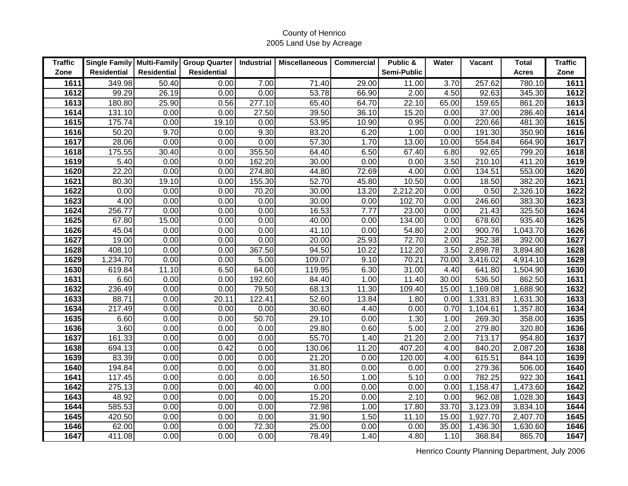| <b>Traffic</b> | Single Family   Multi-Family |             | <b>Group Quarter</b> | Industrial | <b>Miscellaneous</b> | <b>Commercial</b> | Public &    | Water | <b>Vacant</b> | Total        | <b>Traffic</b> |
|----------------|------------------------------|-------------|----------------------|------------|----------------------|-------------------|-------------|-------|---------------|--------------|----------------|
| Zone           | <b>Residential</b>           | Residential | <b>Residential</b>   |            |                      |                   | Semi-Public |       |               | <b>Acres</b> | Zone           |
| 1611           | 349.98                       | 50.40       | 0.00                 | 7.00       | 71.40                | 29.00             | 11.00       | 3.70  | 257.62        | 780.10       | 1611           |
| 1612           | 99.29                        | 26.19       | 0.00                 | 0.00       | 53.78                | 66.90             | 2.00        | 4.50  | 92.63         | 345.30       | 1612           |
| 1613           | 180.80                       | 25.90       | 0.56                 | 277.10     | 65.40                | 64.70             | 22.10       | 65.00 | 159.65        | 861.20       | 1613           |
| 1614           | 131.10                       | 0.00        | 0.00                 | 27.50      | 39.50                | 36.10             | 15.20       | 0.00  | 37.00         | 286.40       | 1614           |
| 1615           | 175.74                       | 0.00        | 19.10                | 0.00       | 53.95                | 10.90             | 0.95        | 0.00  | 220.66        | 481.30       | 1615           |
| 1616           | 50.20                        | 9.70        | 0.00                 | 9.30       | 83.20                | 6.20              | 1.00        | 0.00  | 191.30        | 350.90       | 1616           |
| 1617           | 28.06                        | 0.00        | 0.00                 | 0.00       | 57.30                | 1.70              | 13.00       | 10.00 | 554.84        | 664.90       | 1617           |
| 1618           | 175.55                       | 30.40       | 0.00                 | 355.50     | 64.40                | 6.50              | 67.40       | 6.80  | 92.65         | 799.20       | 1618           |
| 1619           | 5.40                         | 0.00        | 0.00                 | 162.20     | 30.00                | 0.00              | 0.00        | 3.50  | 210.10        | 411.20       | 1619           |
| 1620           | 22.20                        | 0.00        | 0.00                 | 274.80     | 44.80                | 72.69             | 4.00        | 0.00  | 134.51        | 553.00       | 1620           |
| 1621           | 80.30                        | 19.10       | 0.00                 | 155.30     | 52.70                | 45.80             | 10.50       | 0.00  | 18.50         | 382.20       | 1621           |
| 1622           | 0.00                         | 0.00        | 0.00                 | 70.20      | 30.00                | 13.20             | 2,212.20    | 0.00  | 0.50          | 2,326.10     | 1622           |
| 1623           | 4.00                         | 0.00        | 0.00                 | 0.00       | 30.00                | 0.00              | 102.70      | 0.00  | 246.60        | 383.30       | 1623           |
| 1624           | 256.77                       | 0.00        | 0.00                 | 0.00       | 16.53                | 7.77              | 23.00       | 0.00  | 21.43         | 325.50       | 1624           |
| 1625           | 67.80                        | 15.00       | 0.00                 | 0.00       | 40.00                | 0.00              | 134.00      | 0.00  | 678.60        | 935.40       | 1625           |
| 1626           | 45.04                        | 0.00        | 0.00                 | 0.00       | 41.10                | 0.00              | 54.80       | 2.00  | 900.76        | 1,043.70     | 1626           |
| 1627           | 19.00                        | 0.00        | 0.00                 | 0.00       | 20.00                | 25.93             | 72.70       | 2.00  | 252.38        | 392.00       | 1627           |
| 1628           | 408.10                       | 0.00        | 0.00                 | 367.50     | 94.50                | 10.22             | 112.20      | 3.50  | 2,898.78      | 3,894.80     | 1628           |
| 1629           | 1,234.70                     | 0.00        | 0.00                 | 5.00       | 109.07               | 9.10              | 70.21       | 70.00 | 3,416.02      | 4,914.10     | 1629           |
| 1630           | 619.84                       | 11.10       | 6.50                 | 64.00      | 119.95               | 6.30              | 31.00       | 4.40  | 641.80        | 1,504.90     | 1630           |
| 1631           | 6.60                         | 0.00        | 0.00                 | 192.60     | 84.40                | 1.00              | 11.40       | 30.00 | 536.50        | 862.50       | 1631           |
| 1632           | 236.49                       | 0.00        | 0.00                 | 79.50      | 68.13                | 11.30             | 109.40      | 15.00 | 1,169.08      | 1,688.90     | 1632           |
| 1633           | 88.71                        | 0.00        | 20.11                | 122.41     | 52.60                | 13.84             | 1.80        | 0.00  | 1,331.83      | 1,631.30     | 1633           |
| 1634           | 217.49                       | 0.00        | 0.00                 | 0.00       | 30.60                | 4.40              | 0.00        | 0.70  | 1,104.61      | 1,357.80     | 1634           |
| 1635           | 6.60                         | 0.00        | 0.00                 | 50.70      | 29.10                | 0.00              | 1.30        | 1.00  | 269.30        | 358.00       | 1635           |
| 1636           | 3.60                         | 0.00        | 0.00                 | 0.00       | 29.80                | 0.60              | 5.00        | 2.00  | 279.80        | 320.80       | 1636           |
| 1637           | 161.33                       | 0.00        | 0.00                 | 0.00       | 55.70                | 1.40              | 21.20       | 2.00  | 713.17        | 954.80       | 1637           |
| 1638           | 694.13                       | 0.00        | 0.42                 | 0.00       | 130.06               | 11.20             | 407.20      | 4.00  | 840.20        | 2,087.20     | 1638           |
| 1639           | 83.39                        | 0.00        | 0.00                 | 0.00       | 21.20                | 0.00              | 120.00      | 4.00  | 615.51        | 844.10       | 1639           |
| 1640           | 194.84                       | 0.00        | 0.00                 | 0.00       | 31.80                | 0.00              | 0.00        | 0.00  | 279.36        | 506.00       | 1640           |
| 1641           | 117.45                       | 0.00        | 0.00                 | 0.00       | 16.50                | 1.00              | 5.10        | 0.00  | 782.25        | 922.30       | 1641           |
| 1642           | 275.13                       | 0.00        | 0.00                 | 40.00      | 0.00                 | 0.00              | 0.00        | 0.00  | 1,158.47      | 1,473.60     | 1642           |
| 1643           | 48.92                        | 0.00        | 0.00                 | 0.00       | 15.20                | 0.00              | 2.10        | 0.00  | 962.08        | 1,028.30     | 1643           |
| 1644           | 585.53                       | 0.00        | 0.00                 | 0.00       | 72.98                | 1.00              | 17.80       | 33.70 | 3,123.09      | 3,834.10     | 1644           |
| 1645           | 420.50                       | 0.00        | 0.00                 | 0.00       | 31.90                | 1.50              | 11.10       | 15.00 | 1,927.70      | 2,407.70     | 1645           |
| 1646           | 62.00                        | 0.00        | 0.00                 | 72.30      | 25.00                | 0.00              | 0.00        | 35.00 | 1,436.30      | 1,630.60     | 1646           |
| 1647           | 411.08                       | 0.00        | 0.00                 | 0.00       | 78.49                | 1.40              | 4.80        | 1.10  | 368.84        | 865.70       | 1647           |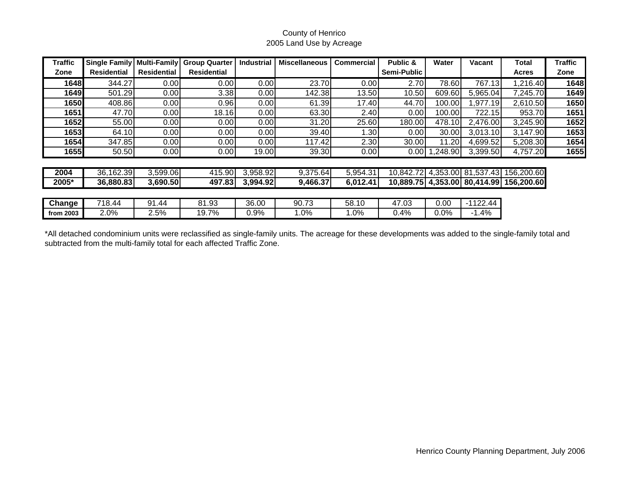| <b>Traffic</b> | <b>Single Family</b> | <b>Multi-Family</b> | <b>Group Quarter</b> | <b>Industrial</b> | <b>Miscellaneous</b> | <b>Commercial</b> | Public &    | Water           | Vacant     | Total                                   | <b>Traffic</b> |
|----------------|----------------------|---------------------|----------------------|-------------------|----------------------|-------------------|-------------|-----------------|------------|-----------------------------------------|----------------|
| Zone           | <b>Residential</b>   | <b>Residential</b>  | <b>Residential</b>   |                   |                      |                   | Semi-Public |                 |            | <b>Acres</b>                            | Zone           |
| 1648           | 344.27               | 0.00                | 0.00                 | 0.00              | 23.70                | 0.00              | 2.70        | 78.60           | 767.13     | 1,216.40                                | 1648           |
| 1649           | 501.29               | 0.00                | 3.38                 | 0.00              | 142.38               | 13.50             | 10.50       | 609.60          | 5,965.04   | 7,245.70                                | 1649           |
| 1650           | 408.86               | 0.00                | 0.96                 | 0.00              | 61.39                | 17.40             | 44.70       | 100.00          | 1,977.19   | 2,610.50                                | 1650           |
| 1651           | 47.70                | 0.00                | 18.16                | 0.00              | 63.30                | 2.40              | 0.00        | 100.00          | 722.15     | 953.70                                  | 1651           |
| 1652           | 55.00                | 0.00                | 0.00                 | 0.00              | 31.20                | 25.60             | 180.00      | 478.10          | 2,476.00   | 3,245.90                                | 1652           |
| 1653           | 64.10                | 0.00                | 0.00                 | 0.00              | 39.40                | 1.30              | 0.00        | 30.00           | 3,013.10   | 3,147.90                                | 1653           |
| 1654           | 347.85               | 0.00                | 0.00                 | 0.00              | 117.42               | 2.30              | 30.00       | 11.20           | 4,699.52   | 5,208.30                                | 1654           |
| 1655           | 50.50                | 0.00                | 0.00                 | 19.00             | 39.30                | 0.00              |             | $0.00$ 1,248.90 | 3,399.50   | 4,757.20                                | 1655           |
|                |                      |                     |                      |                   |                      |                   |             |                 |            |                                         |                |
| 2004           | 36,162.39            | 3,599.06            | 415.90               | 3,958.92          | 9,375.64             | 5,954.31          |             |                 |            | 10,842.72 4,353.00 81,537.43 156,200.60 |                |
| 2005*          | 36,880.83            | 3,690.50            | 497.83               | 3,994.92          | 9,466.37             | 6,012.41          |             |                 |            | 10,889.75 4,353.00 80,414.99 156,200.60 |                |
|                |                      |                     |                      |                   |                      |                   |             |                 |            |                                         |                |
| Change         | 718.44               | 91.44               | 81.93                | 36.00             | 90.73                | 58.10             | 47.03       | 0.00            | $-1122.44$ |                                         |                |
| from 2003      | 2.0%                 | 2.5%                | 19.7%                | 0.9%              | $1.0\%$              | 1.0%              | 0.4%        | 0.0%            | $-1.4%$    |                                         |                |

\*All detached condominium units were reclassified as single-family units. The acreage for these developments was added to the single-family total and subtracted from the multi-family total for each affected Traffic Zone.